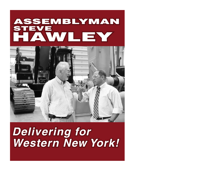## HAWLEY STEVE ASSEMBLYMAN



# *Delivering for Western New York!*